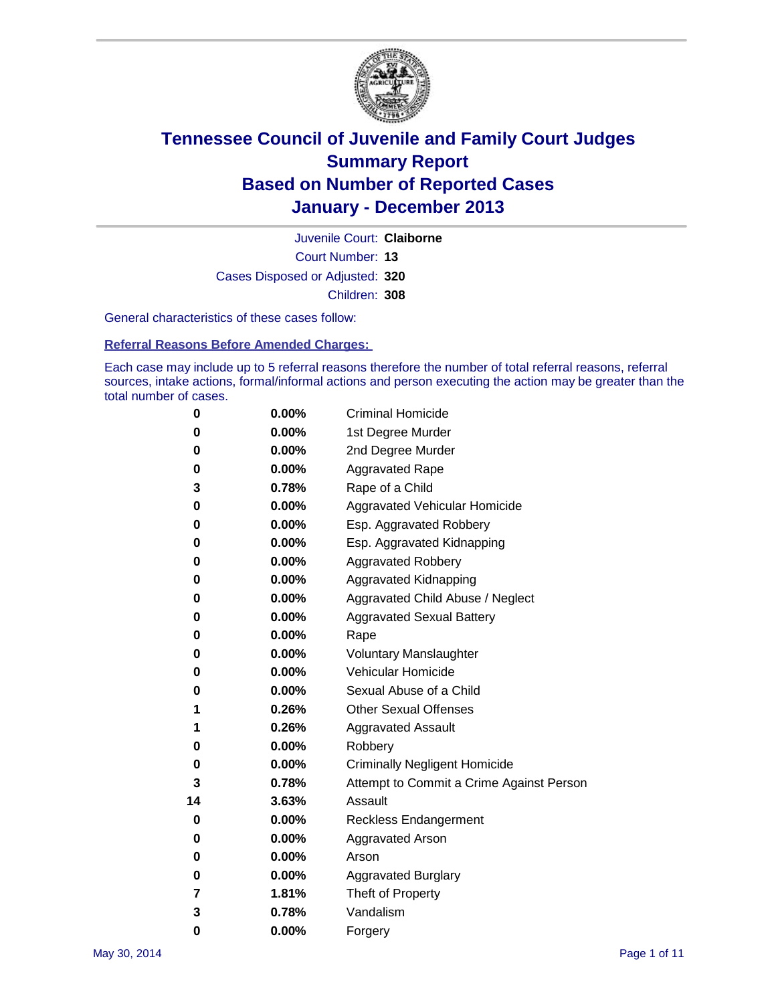

Court Number: **13** Juvenile Court: **Claiborne** Cases Disposed or Adjusted: **320** Children: **308**

General characteristics of these cases follow:

**Referral Reasons Before Amended Charges:** 

Each case may include up to 5 referral reasons therefore the number of total referral reasons, referral sources, intake actions, formal/informal actions and person executing the action may be greater than the total number of cases.

| 0  | 0.00%    | <b>Criminal Homicide</b>                 |
|----|----------|------------------------------------------|
| 0  | 0.00%    | 1st Degree Murder                        |
| 0  | 0.00%    | 2nd Degree Murder                        |
| 0  | $0.00\%$ | <b>Aggravated Rape</b>                   |
| 3  | 0.78%    | Rape of a Child                          |
| 0  | 0.00%    | <b>Aggravated Vehicular Homicide</b>     |
| 0  | 0.00%    | Esp. Aggravated Robbery                  |
| 0  | 0.00%    | Esp. Aggravated Kidnapping               |
| 0  | $0.00\%$ | <b>Aggravated Robbery</b>                |
| 0  | 0.00%    | Aggravated Kidnapping                    |
| 0  | 0.00%    | Aggravated Child Abuse / Neglect         |
| 0  | 0.00%    | <b>Aggravated Sexual Battery</b>         |
| 0  | 0.00%    | Rape                                     |
| 0  | 0.00%    | <b>Voluntary Manslaughter</b>            |
| 0  | 0.00%    | Vehicular Homicide                       |
| 0  | 0.00%    | Sexual Abuse of a Child                  |
| 1  | 0.26%    | <b>Other Sexual Offenses</b>             |
| 1  | 0.26%    | <b>Aggravated Assault</b>                |
| 0  | 0.00%    | Robbery                                  |
| 0  | 0.00%    | <b>Criminally Negligent Homicide</b>     |
| 3  | 0.78%    | Attempt to Commit a Crime Against Person |
| 14 | 3.63%    | Assault                                  |
| 0  | 0.00%    | <b>Reckless Endangerment</b>             |
| 0  | 0.00%    | <b>Aggravated Arson</b>                  |
| 0  | $0.00\%$ | Arson                                    |
| 0  | 0.00%    | <b>Aggravated Burglary</b>               |
| 7  | 1.81%    | Theft of Property                        |
| 3  | 0.78%    | Vandalism                                |
| 0  | 0.00%    | Forgery                                  |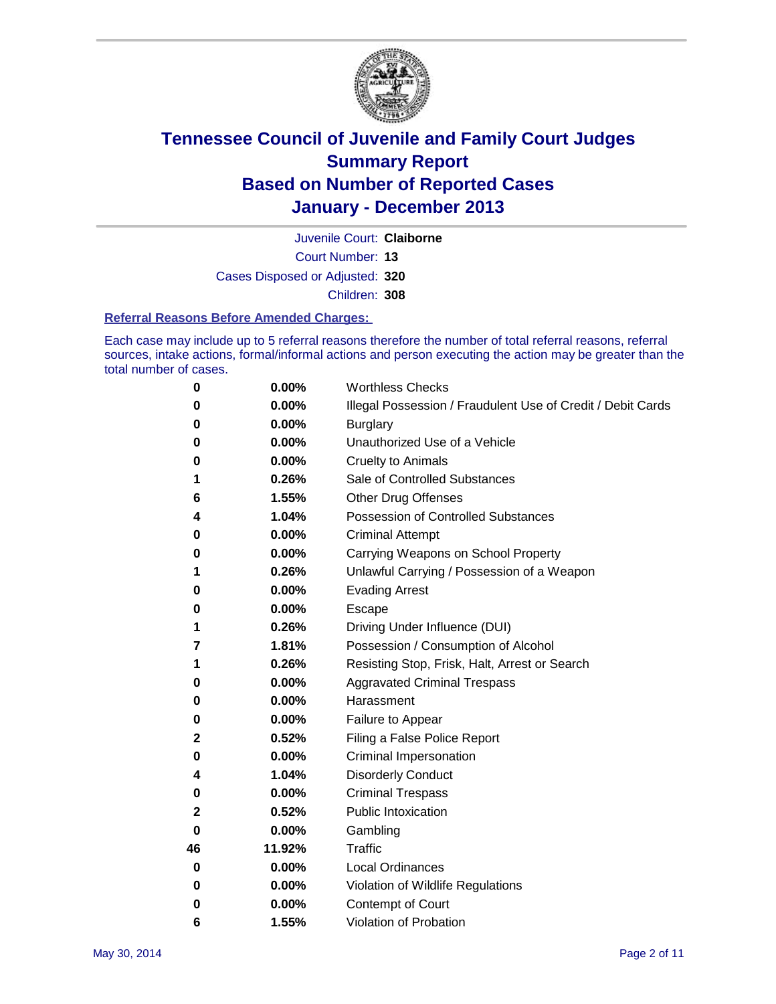

Court Number: **13** Juvenile Court: **Claiborne** Cases Disposed or Adjusted: **320** Children: **308**

#### **Referral Reasons Before Amended Charges:**

Each case may include up to 5 referral reasons therefore the number of total referral reasons, referral sources, intake actions, formal/informal actions and person executing the action may be greater than the total number of cases.

| 0            | 0.00%  | <b>Worthless Checks</b>                                     |
|--------------|--------|-------------------------------------------------------------|
| 0            | 0.00%  | Illegal Possession / Fraudulent Use of Credit / Debit Cards |
| 0            | 0.00%  | <b>Burglary</b>                                             |
| 0            | 0.00%  | Unauthorized Use of a Vehicle                               |
| 0            | 0.00%  | <b>Cruelty to Animals</b>                                   |
| 1            | 0.26%  | Sale of Controlled Substances                               |
| 6            | 1.55%  | <b>Other Drug Offenses</b>                                  |
| 4            | 1.04%  | <b>Possession of Controlled Substances</b>                  |
| 0            | 0.00%  | <b>Criminal Attempt</b>                                     |
| 0            | 0.00%  | Carrying Weapons on School Property                         |
| 1            | 0.26%  | Unlawful Carrying / Possession of a Weapon                  |
| 0            | 0.00%  | <b>Evading Arrest</b>                                       |
| 0            | 0.00%  | Escape                                                      |
| 1            | 0.26%  | Driving Under Influence (DUI)                               |
| 7            | 1.81%  | Possession / Consumption of Alcohol                         |
| 1            | 0.26%  | Resisting Stop, Frisk, Halt, Arrest or Search               |
| 0            | 0.00%  | <b>Aggravated Criminal Trespass</b>                         |
| 0            | 0.00%  | Harassment                                                  |
| 0            | 0.00%  | Failure to Appear                                           |
| 2            | 0.52%  | Filing a False Police Report                                |
| 0            | 0.00%  | Criminal Impersonation                                      |
| 4            | 1.04%  | <b>Disorderly Conduct</b>                                   |
| 0            | 0.00%  | <b>Criminal Trespass</b>                                    |
| $\mathbf{2}$ | 0.52%  | <b>Public Intoxication</b>                                  |
| 0            | 0.00%  | Gambling                                                    |
| 46           | 11.92% | Traffic                                                     |
| 0            | 0.00%  | Local Ordinances                                            |
| 0            | 0.00%  | Violation of Wildlife Regulations                           |
| 0            | 0.00%  | Contempt of Court                                           |
| 6            | 1.55%  | Violation of Probation                                      |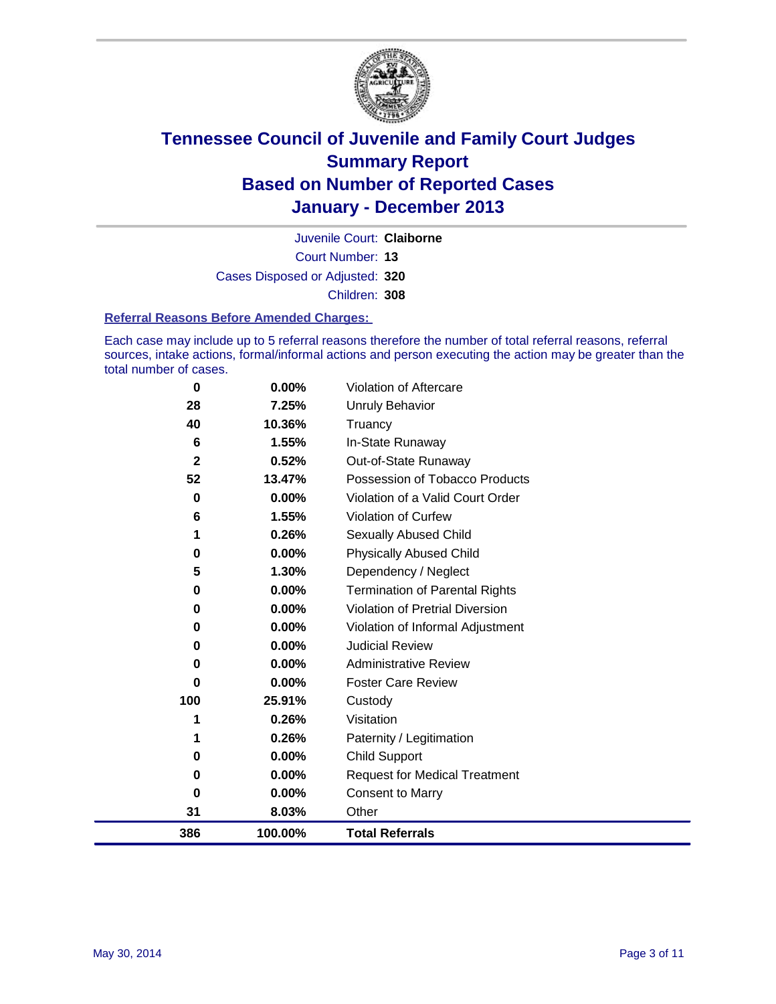

Court Number: **13** Juvenile Court: **Claiborne** Cases Disposed or Adjusted: **320** Children: **308**

#### **Referral Reasons Before Amended Charges:**

Each case may include up to 5 referral reasons therefore the number of total referral reasons, referral sources, intake actions, formal/informal actions and person executing the action may be greater than the total number of cases.

| $\bf{0}$    | $0.00\%$ | Violation of Aftercare                 |
|-------------|----------|----------------------------------------|
| 28          | 7.25%    | Unruly Behavior                        |
| 40          | 10.36%   | Truancy                                |
| 6           | 1.55%    | In-State Runaway                       |
| $\mathbf 2$ | 0.52%    | Out-of-State Runaway                   |
| 52          | 13.47%   | Possession of Tobacco Products         |
| 0           | 0.00%    | Violation of a Valid Court Order       |
| 6           | 1.55%    | <b>Violation of Curfew</b>             |
| 1           | 0.26%    | <b>Sexually Abused Child</b>           |
| 0           | 0.00%    | <b>Physically Abused Child</b>         |
| 5           | 1.30%    | Dependency / Neglect                   |
| 0           | $0.00\%$ | <b>Termination of Parental Rights</b>  |
| 0           | $0.00\%$ | <b>Violation of Pretrial Diversion</b> |
| 0           | 0.00%    | Violation of Informal Adjustment       |
| 0           | $0.00\%$ | <b>Judicial Review</b>                 |
| 0           | 0.00%    | <b>Administrative Review</b>           |
| 0           | 0.00%    | <b>Foster Care Review</b>              |
| 100         | 25.91%   | Custody                                |
|             | 0.26%    | Visitation                             |
|             | 0.26%    | Paternity / Legitimation               |
| 0           | 0.00%    | <b>Child Support</b>                   |
| 0           | 0.00%    | <b>Request for Medical Treatment</b>   |
| 0           | 0.00%    | <b>Consent to Marry</b>                |
| 31          | 8.03%    | Other                                  |
| 386         | 100.00%  | <b>Total Referrals</b>                 |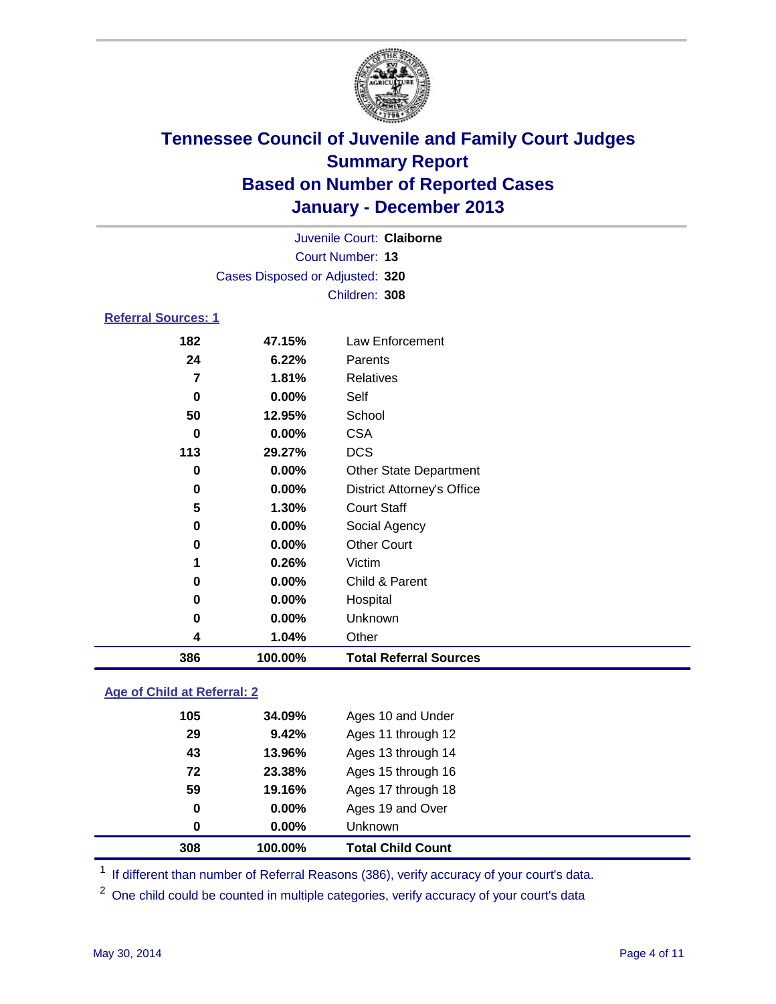

|                            |                                 | Juvenile Court: Claiborne         |  |
|----------------------------|---------------------------------|-----------------------------------|--|
|                            |                                 | Court Number: 13                  |  |
|                            | Cases Disposed or Adjusted: 320 |                                   |  |
|                            |                                 | Children: 308                     |  |
| <b>Referral Sources: 1</b> |                                 |                                   |  |
| 182                        | 47.15%                          | Law Enforcement                   |  |
| 24                         | 6.22%                           | Parents                           |  |
| 7                          | 1.81%                           | Relatives                         |  |
| 0                          | $0.00\%$                        | Self                              |  |
| 50                         | 12.95%                          | School                            |  |
| 0                          | 0.00%                           | <b>CSA</b>                        |  |
| 113                        | 29.27%                          | <b>DCS</b>                        |  |
| 0                          | 0.00%                           | <b>Other State Department</b>     |  |
| 0                          | $0.00\%$                        | <b>District Attorney's Office</b> |  |
| 5                          | 1.30%                           | <b>Court Staff</b>                |  |
| 0                          | 0.00%                           | Social Agency                     |  |
| 0                          | 0.00%                           | <b>Other Court</b>                |  |
| 1                          | 0.26%                           | Victim                            |  |
| 0                          | 0.00%                           | Child & Parent                    |  |
| 0                          | $0.00\%$                        | Hospital                          |  |
| 0                          | $0.00\%$                        | Unknown                           |  |

 **1.04%** Other **100.00% Total Referral Sources**

### **Age of Child at Referral: 2**

| 308 | 100.00%  | <b>Total Child Count</b> |
|-----|----------|--------------------------|
| 0   | $0.00\%$ | <b>Unknown</b>           |
| 0   | 0.00%    | Ages 19 and Over         |
| 59  | 19.16%   | Ages 17 through 18       |
| 72  | 23.38%   | Ages 15 through 16       |
| 43  | 13.96%   | Ages 13 through 14       |
| 29  | 9.42%    | Ages 11 through 12       |
| 105 | 34.09%   | Ages 10 and Under        |
|     |          |                          |

<sup>1</sup> If different than number of Referral Reasons (386), verify accuracy of your court's data.

<sup>2</sup> One child could be counted in multiple categories, verify accuracy of your court's data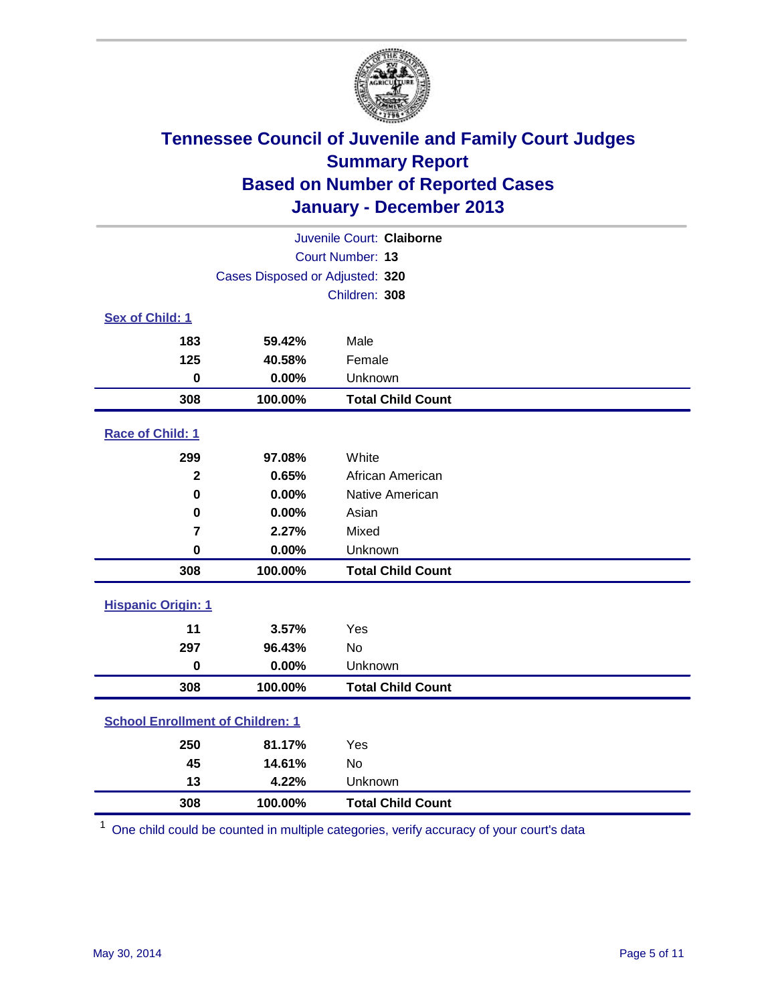

| Juvenile Court: Claiborne               |                                 |                          |  |  |
|-----------------------------------------|---------------------------------|--------------------------|--|--|
| Court Number: 13                        |                                 |                          |  |  |
|                                         | Cases Disposed or Adjusted: 320 |                          |  |  |
|                                         |                                 | Children: 308            |  |  |
| Sex of Child: 1                         |                                 |                          |  |  |
| 183                                     | 59.42%                          | Male                     |  |  |
| 125                                     | 40.58%                          | Female                   |  |  |
| $\bf{0}$                                | 0.00%                           | Unknown                  |  |  |
| 308                                     | 100.00%                         | <b>Total Child Count</b> |  |  |
| Race of Child: 1                        |                                 |                          |  |  |
| 299                                     | 97.08%                          | White                    |  |  |
| $\overline{2}$                          | 0.65%                           | African American         |  |  |
| 0                                       | 0.00%                           | Native American          |  |  |
| $\mathbf 0$                             | 0.00%                           | Asian                    |  |  |
| $\overline{7}$                          | 2.27%                           | Mixed                    |  |  |
| $\bf{0}$                                | 0.00%                           | Unknown                  |  |  |
| 308                                     | 100.00%                         | <b>Total Child Count</b> |  |  |
| <b>Hispanic Origin: 1</b>               |                                 |                          |  |  |
| 11                                      | 3.57%                           | Yes                      |  |  |
| 297                                     | 96.43%                          | <b>No</b>                |  |  |
| $\mathbf 0$                             | 0.00%                           | Unknown                  |  |  |
| 308                                     | 100.00%                         | <b>Total Child Count</b> |  |  |
| <b>School Enrollment of Children: 1</b> |                                 |                          |  |  |
| 250                                     | 81.17%                          | Yes                      |  |  |
| 45                                      | 14.61%                          | <b>No</b>                |  |  |
| 13                                      | 4.22%                           | Unknown                  |  |  |
| 308                                     | 100.00%                         | <b>Total Child Count</b> |  |  |

One child could be counted in multiple categories, verify accuracy of your court's data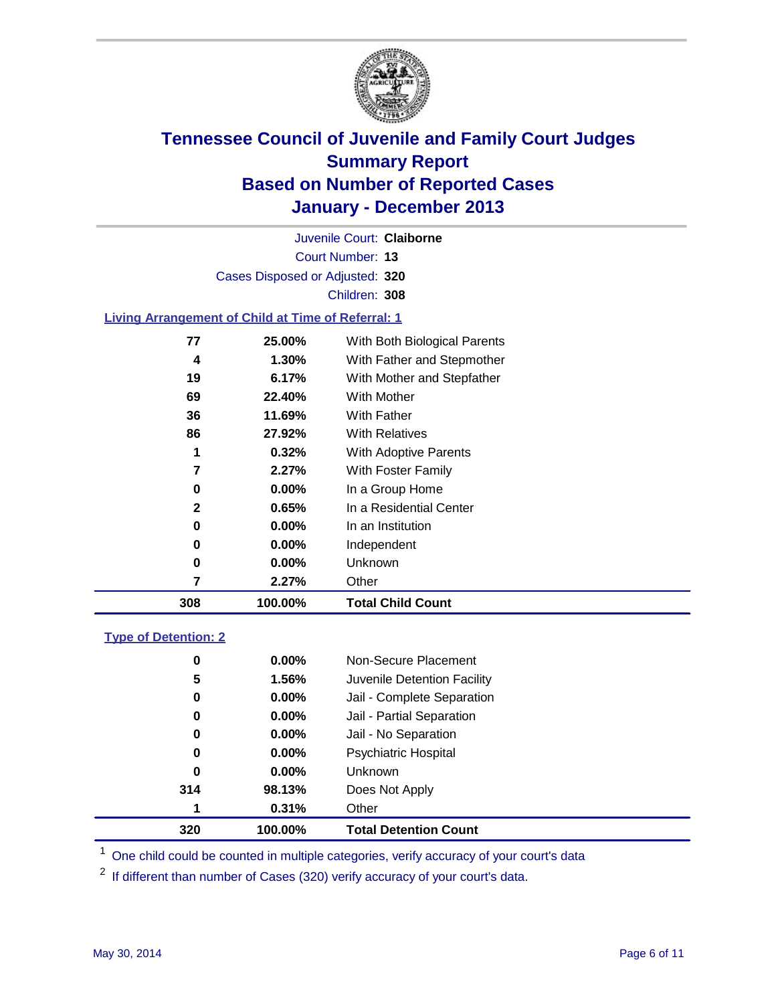

Court Number: **13** Juvenile Court: **Claiborne** Cases Disposed or Adjusted: **320** Children: **308**

#### **Living Arrangement of Child at Time of Referral: 1**

| 308 | 100.00%  | <b>Total Child Count</b>     |
|-----|----------|------------------------------|
| 7   | 2.27%    | Other                        |
| 0   | $0.00\%$ | Unknown                      |
| 0   | $0.00\%$ | Independent                  |
| 0   | 0.00%    | In an Institution            |
| 2   | 0.65%    | In a Residential Center      |
| 0   | $0.00\%$ | In a Group Home              |
| 7   | 2.27%    | With Foster Family           |
| 1   | 0.32%    | <b>With Adoptive Parents</b> |
| 86  | 27.92%   | <b>With Relatives</b>        |
| 36  | 11.69%   | With Father                  |
| 69  | 22.40%   | With Mother                  |
| 19  | 6.17%    | With Mother and Stepfather   |
| 4   | $1.30\%$ | With Father and Stepmother   |
| 77  | 25.00%   | With Both Biological Parents |
|     |          |                              |

#### **Type of Detention: 2**

| 320 | 100.00%  | <b>Total Detention Count</b> |
|-----|----------|------------------------------|
| 1   | 0.31%    | Other                        |
| 314 | 98.13%   | Does Not Apply               |
| 0   | $0.00\%$ | <b>Unknown</b>               |
| 0   | $0.00\%$ | <b>Psychiatric Hospital</b>  |
| 0   | 0.00%    | Jail - No Separation         |
| 0   | $0.00\%$ | Jail - Partial Separation    |
| 0   | 0.00%    | Jail - Complete Separation   |
| 5   | 1.56%    | Juvenile Detention Facility  |
| 0   | 0.00%    | Non-Secure Placement         |
|     |          |                              |

<sup>1</sup> One child could be counted in multiple categories, verify accuracy of your court's data

<sup>2</sup> If different than number of Cases (320) verify accuracy of your court's data.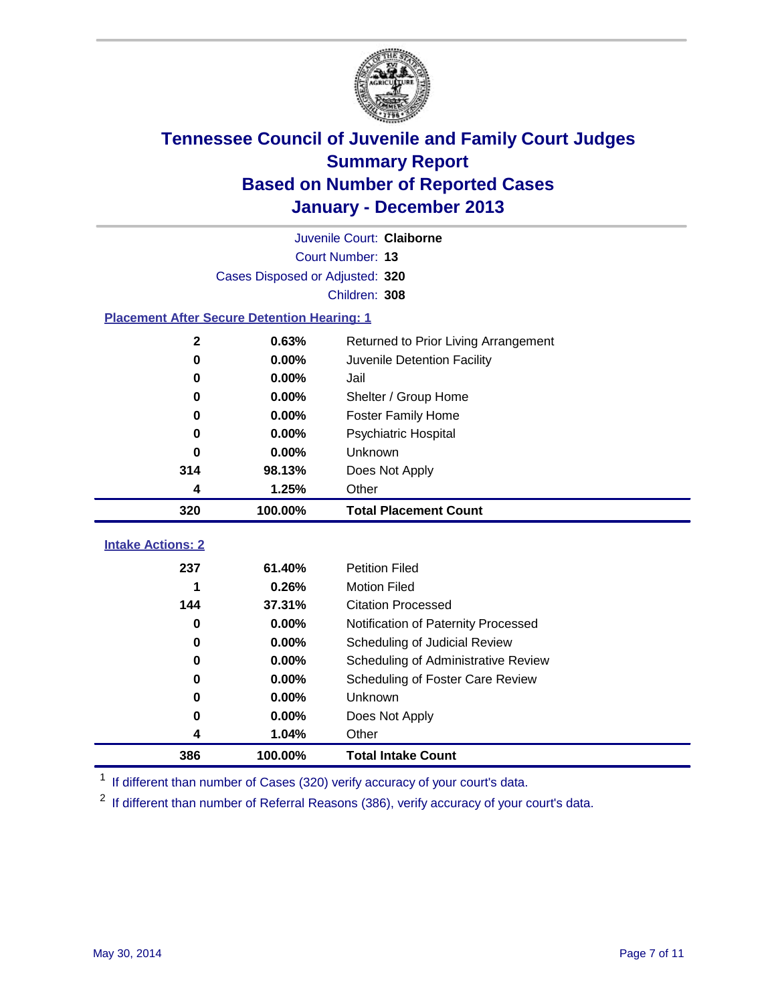

| Juvenile Court: Claiborne                          |                                 |                                      |  |  |  |
|----------------------------------------------------|---------------------------------|--------------------------------------|--|--|--|
|                                                    | Court Number: 13                |                                      |  |  |  |
|                                                    | Cases Disposed or Adjusted: 320 |                                      |  |  |  |
|                                                    |                                 | Children: 308                        |  |  |  |
| <b>Placement After Secure Detention Hearing: 1</b> |                                 |                                      |  |  |  |
| $\mathbf{2}$                                       | 0.63%                           | Returned to Prior Living Arrangement |  |  |  |
| 0                                                  | 0.00%                           | Juvenile Detention Facility          |  |  |  |
| 0                                                  | 0.00%                           | Jail                                 |  |  |  |
| 0                                                  | 0.00%                           | Shelter / Group Home                 |  |  |  |
| 0                                                  | 0.00%                           | <b>Foster Family Home</b>            |  |  |  |
| 0                                                  | 0.00%                           | <b>Psychiatric Hospital</b>          |  |  |  |
| $\bf{0}$                                           | 0.00%                           | Unknown                              |  |  |  |
| 314                                                | 98.13%                          | Does Not Apply                       |  |  |  |
| 4                                                  | 1.25%                           | Other                                |  |  |  |
| 320                                                | 100.00%                         | <b>Total Placement Count</b>         |  |  |  |
|                                                    |                                 |                                      |  |  |  |
| <b>Intake Actions: 2</b>                           |                                 |                                      |  |  |  |
| 237                                                | 61.40%                          | <b>Petition Filed</b>                |  |  |  |
| 1                                                  | 0.26%                           | <b>Motion Filed</b>                  |  |  |  |
| 144                                                | 37.31%                          | <b>Citation Processed</b>            |  |  |  |
| $\bf{0}$                                           | 0.00%                           | Notification of Paternity Processed  |  |  |  |
| $\bf{0}$                                           | 0.00%                           | Scheduling of Judicial Review        |  |  |  |
| $\bf{0}$                                           | 0.00%                           | Scheduling of Administrative Review  |  |  |  |
| 0                                                  | 0.00%                           | Scheduling of Foster Care Review     |  |  |  |
| 0                                                  | 0.00%                           | Unknown                              |  |  |  |
| 0                                                  | 0.00%                           | Does Not Apply                       |  |  |  |
| 4                                                  | 1.04%                           | Other                                |  |  |  |
| 386                                                | 100.00%                         |                                      |  |  |  |

<sup>1</sup> If different than number of Cases (320) verify accuracy of your court's data.

If different than number of Referral Reasons (386), verify accuracy of your court's data.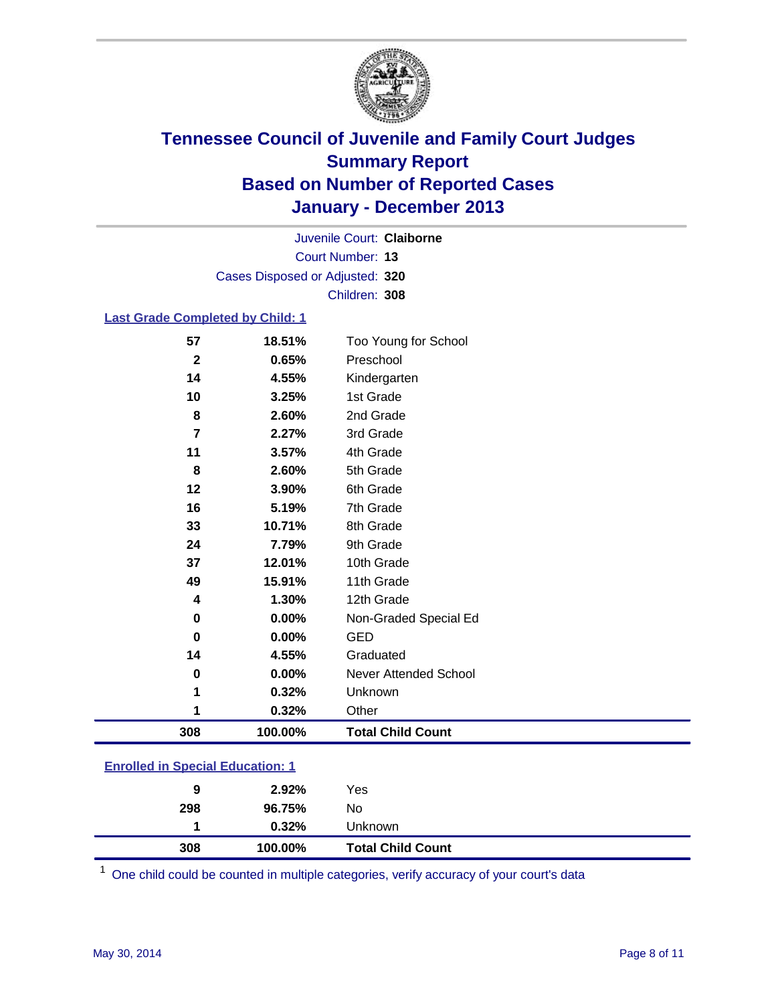

Court Number: **13** Juvenile Court: **Claiborne** Cases Disposed or Adjusted: **320** Children: **308**

#### **Last Grade Completed by Child: 1**

| 308                     | 100.00% | <b>Total Child Count</b> |
|-------------------------|---------|--------------------------|
| 1                       | 0.32%   | Other                    |
| 1                       | 0.32%   | Unknown                  |
| 0                       | 0.00%   | Never Attended School    |
| 14                      | 4.55%   | Graduated                |
| $\bf{0}$                | 0.00%   | <b>GED</b>               |
| 0                       | 0.00%   | Non-Graded Special Ed    |
| 4                       | 1.30%   | 12th Grade               |
| 49                      | 15.91%  | 11th Grade               |
| 37                      | 12.01%  | 10th Grade               |
| 24                      | 7.79%   | 9th Grade                |
| 33                      | 10.71%  | 8th Grade                |
| 16                      | 5.19%   | 7th Grade                |
| 12                      | 3.90%   | 6th Grade                |
| 8                       | 2.60%   | 5th Grade                |
| 11                      | 3.57%   | 4th Grade                |
| 7                       | 2.27%   | 3rd Grade                |
| 8                       | 2.60%   | 2nd Grade                |
| 10                      | 3.25%   | 1st Grade                |
| 14                      | 4.55%   | Kindergarten             |
| $\overline{\mathbf{2}}$ | 0.65%   | Preschool                |
| 57                      | 18.51%  | Too Young for School     |

| 308 | 100.00%  | <b>Total Child Count</b> |  |
|-----|----------|--------------------------|--|
|     | $0.32\%$ | Unknown                  |  |
| 298 | 96.75%   | No                       |  |
| 9   | $2.92\%$ | Yes                      |  |
|     |          |                          |  |

One child could be counted in multiple categories, verify accuracy of your court's data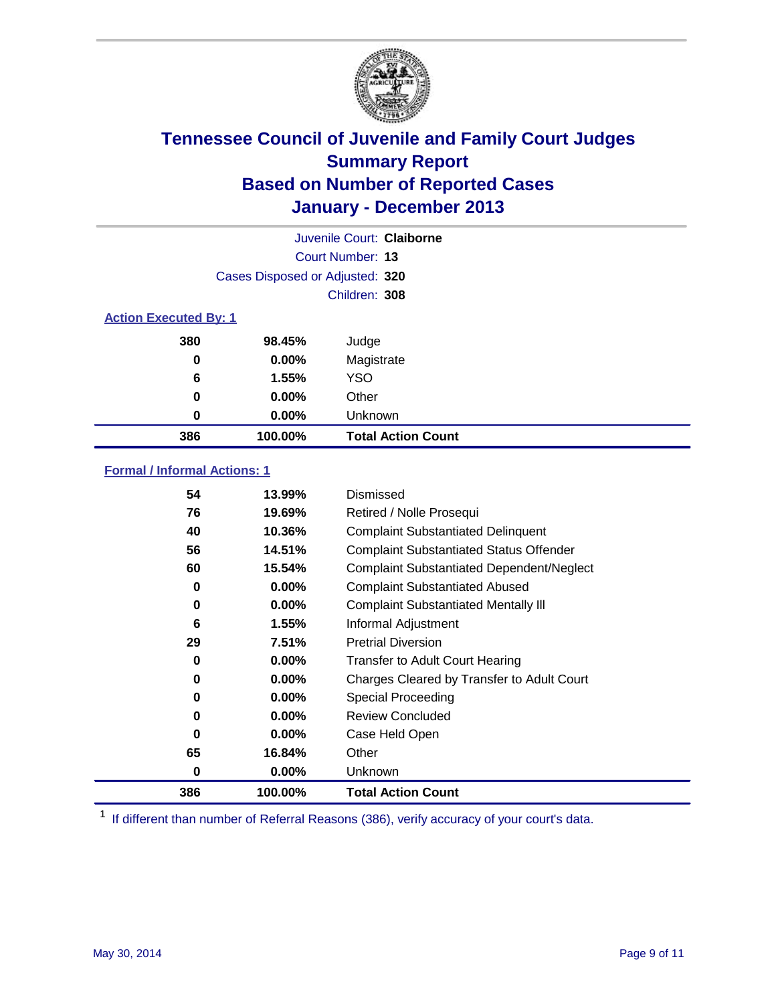

|                              |                                 | Juvenile Court: Claiborne |
|------------------------------|---------------------------------|---------------------------|
|                              |                                 | Court Number: 13          |
|                              | Cases Disposed or Adjusted: 320 |                           |
|                              |                                 | Children: 308             |
| <b>Action Executed By: 1</b> |                                 |                           |
| 380                          | 98.45%                          | Judge                     |
| 0                            | $0.00\%$                        | Magistrate                |
| 6                            | 1.55%                           | <b>YSO</b>                |
| 0                            | $0.00\%$                        | Other                     |
| 0                            | $0.00\%$                        | Unknown                   |
| 386                          | 100.00%                         | <b>Total Action Count</b> |

### **Formal / Informal Actions: 1**

| 54       | 13.99%   | Dismissed                                        |
|----------|----------|--------------------------------------------------|
| 76       | 19.69%   | Retired / Nolle Prosequi                         |
| 40       | 10.36%   | <b>Complaint Substantiated Delinquent</b>        |
| 56       | 14.51%   | <b>Complaint Substantiated Status Offender</b>   |
| 60       | 15.54%   | <b>Complaint Substantiated Dependent/Neglect</b> |
| 0        | $0.00\%$ | <b>Complaint Substantiated Abused</b>            |
| 0        | $0.00\%$ | <b>Complaint Substantiated Mentally III</b>      |
| 6        | 1.55%    | Informal Adjustment                              |
| 29       | 7.51%    | <b>Pretrial Diversion</b>                        |
| 0        | $0.00\%$ | <b>Transfer to Adult Court Hearing</b>           |
| 0        | $0.00\%$ | Charges Cleared by Transfer to Adult Court       |
| 0        | $0.00\%$ | Special Proceeding                               |
| 0        | $0.00\%$ | <b>Review Concluded</b>                          |
| $\bf{0}$ | $0.00\%$ | Case Held Open                                   |
| 65       | 16.84%   | Other                                            |
| 0        | $0.00\%$ | Unknown                                          |
| 386      | 100.00%  | <b>Total Action Count</b>                        |

<sup>1</sup> If different than number of Referral Reasons (386), verify accuracy of your court's data.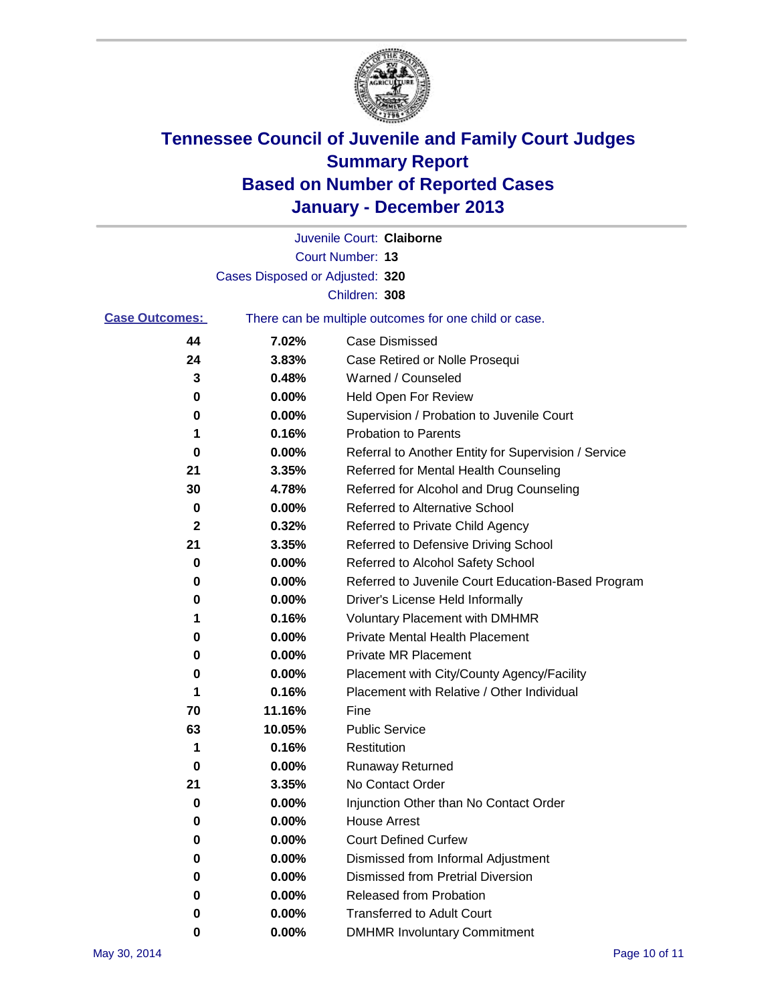

|                       |                                 | Juvenile Court: Claiborne                             |
|-----------------------|---------------------------------|-------------------------------------------------------|
|                       |                                 | Court Number: 13                                      |
|                       | Cases Disposed or Adjusted: 320 |                                                       |
|                       |                                 | Children: 308                                         |
| <b>Case Outcomes:</b> |                                 | There can be multiple outcomes for one child or case. |
| 44                    | 7.02%                           | Case Dismissed                                        |
| 24                    | 3.83%                           | Case Retired or Nolle Prosequi                        |
| 3                     | 0.48%                           | Warned / Counseled                                    |
| 0                     | 0.00%                           | <b>Held Open For Review</b>                           |
| 0                     | 0.00%                           | Supervision / Probation to Juvenile Court             |
| 1                     | 0.16%                           | <b>Probation to Parents</b>                           |
| 0                     | 0.00%                           | Referral to Another Entity for Supervision / Service  |
| 21                    | 3.35%                           | Referred for Mental Health Counseling                 |
| 30                    | 4.78%                           | Referred for Alcohol and Drug Counseling              |
| 0                     | 0.00%                           | <b>Referred to Alternative School</b>                 |
| 2                     | 0.32%                           | Referred to Private Child Agency                      |
| 21                    | 3.35%                           | Referred to Defensive Driving School                  |
| 0                     | 0.00%                           | Referred to Alcohol Safety School                     |
| 0                     | 0.00%                           | Referred to Juvenile Court Education-Based Program    |
| 0                     | 0.00%                           | Driver's License Held Informally                      |
| 1                     | 0.16%                           | <b>Voluntary Placement with DMHMR</b>                 |
| 0                     | 0.00%                           | <b>Private Mental Health Placement</b>                |
| 0                     | 0.00%                           | <b>Private MR Placement</b>                           |
| 0                     | 0.00%                           | Placement with City/County Agency/Facility            |
| 1                     | 0.16%                           | Placement with Relative / Other Individual            |
| 70                    | 11.16%                          | Fine                                                  |
| 63                    | 10.05%                          | <b>Public Service</b>                                 |
| 1                     | 0.16%                           | Restitution                                           |
| 0                     | 0.00%                           | <b>Runaway Returned</b>                               |
| 21                    | 3.35%                           | No Contact Order                                      |
| 0                     | 0.00%                           | Injunction Other than No Contact Order                |
| 0                     | 0.00%                           | <b>House Arrest</b>                                   |
| 0                     | 0.00%                           | <b>Court Defined Curfew</b>                           |
| 0                     | 0.00%                           | Dismissed from Informal Adjustment                    |
| 0                     | 0.00%                           | Dismissed from Pretrial Diversion                     |
| 0                     | 0.00%                           | Released from Probation                               |
| 0                     | 0.00%                           | <b>Transferred to Adult Court</b>                     |
| 0                     | $0.00\%$                        | <b>DMHMR Involuntary Commitment</b>                   |